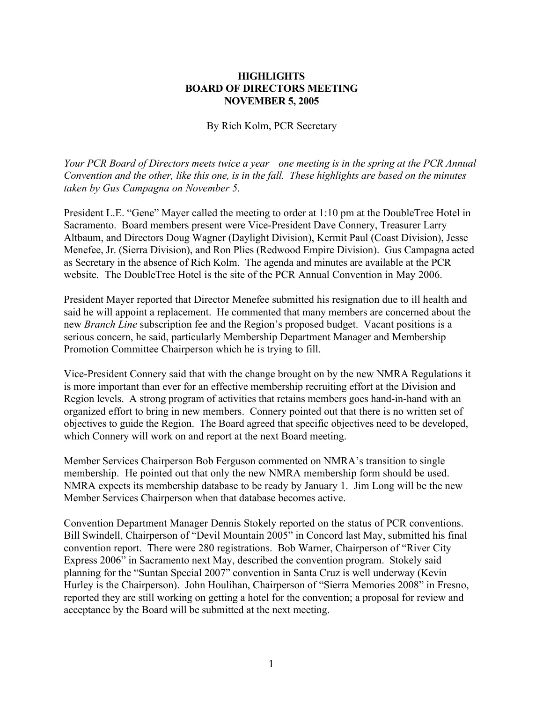## **HIGHLIGHTS BOARD OF DIRECTORS MEETING NOVEMBER 5, 2005**

By Rich Kolm, PCR Secretary

*Your PCR Board of Directors meets twice a year—one meeting is in the spring at the PCR Annual Convention and the other, like this one, is in the fall. These highlights are based on the minutes taken by Gus Campagna on November 5.*

President L.E. "Gene" Mayer called the meeting to order at 1:10 pm at the DoubleTree Hotel in Sacramento. Board members present were Vice-President Dave Connery, Treasurer Larry Altbaum, and Directors Doug Wagner (Daylight Division), Kermit Paul (Coast Division), Jesse Menefee, Jr. (Sierra Division), and Ron Plies (Redwood Empire Division). Gus Campagna acted as Secretary in the absence of Rich Kolm. The agenda and minutes are available at the PCR website. The DoubleTree Hotel is the site of the PCR Annual Convention in May 2006.

President Mayer reported that Director Menefee submitted his resignation due to ill health and said he will appoint a replacement. He commented that many members are concerned about the new *Branch Line* subscription fee and the Region's proposed budget. Vacant positions is a serious concern, he said, particularly Membership Department Manager and Membership Promotion Committee Chairperson which he is trying to fill.

Vice-President Connery said that with the change brought on by the new NMRA Regulations it is more important than ever for an effective membership recruiting effort at the Division and Region levels. A strong program of activities that retains members goes hand-in-hand with an organized effort to bring in new members. Connery pointed out that there is no written set of objectives to guide the Region. The Board agreed that specific objectives need to be developed, which Connery will work on and report at the next Board meeting.

Member Services Chairperson Bob Ferguson commented on NMRA's transition to single membership. He pointed out that only the new NMRA membership form should be used. NMRA expects its membership database to be ready by January 1. Jim Long will be the new Member Services Chairperson when that database becomes active.

Convention Department Manager Dennis Stokely reported on the status of PCR conventions. Bill Swindell, Chairperson of "Devil Mountain 2005" in Concord last May, submitted his final convention report. There were 280 registrations. Bob Warner, Chairperson of "River City Express 2006" in Sacramento next May, described the convention program. Stokely said planning for the "Suntan Special 2007" convention in Santa Cruz is well underway (Kevin Hurley is the Chairperson). John Houlihan, Chairperson of "Sierra Memories 2008" in Fresno, reported they are still working on getting a hotel for the convention; a proposal for review and acceptance by the Board will be submitted at the next meeting.